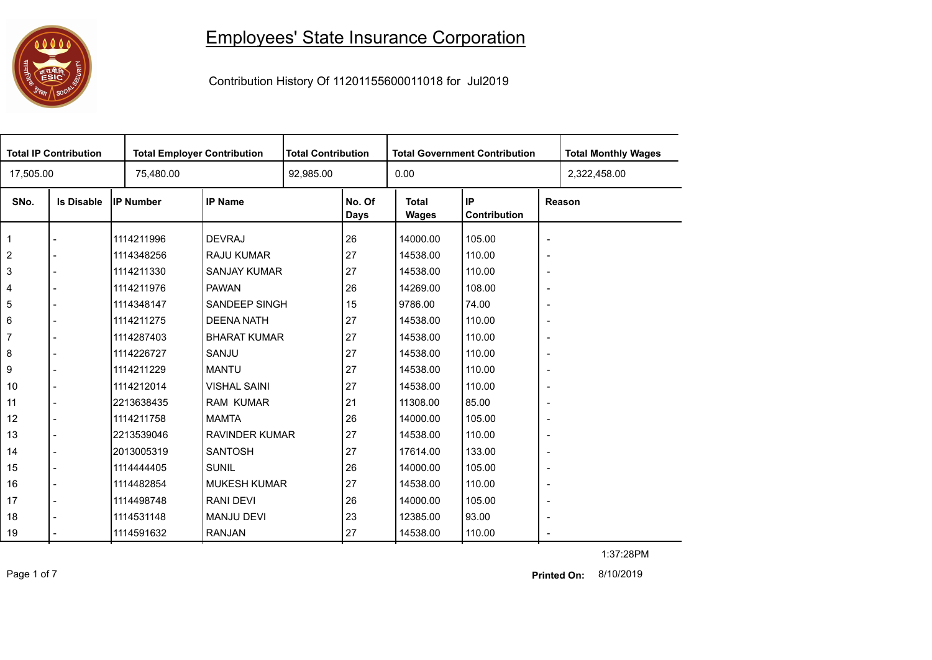## 

## Employees' State Insurance Corporation

Contribution History Of 11201155600011018 for Jul2019

| <b>Total IP Contribution</b> |                   |                  | <b>Total Employer Contribution</b> |  | <b>Total Contribution</b><br><b>Total Government Contribution</b> |                       |                    |                          | <b>Total Monthly Wages</b> |
|------------------------------|-------------------|------------------|------------------------------------|--|-------------------------------------------------------------------|-----------------------|--------------------|--------------------------|----------------------------|
| 17,505.00                    |                   | 75,480.00        |                                    |  |                                                                   | 0.00                  |                    |                          | 2,322,458.00               |
| SNo.                         | <b>Is Disable</b> | <b>IP Number</b> | <b>IP Name</b>                     |  | No. Of<br><b>Days</b>                                             | <b>Total</b><br>Wages | IP<br>Contribution |                          | Reason                     |
|                              |                   | 1114211996       | <b>DEVRAJ</b>                      |  | 26                                                                | 14000.00              | 105.00             | $\blacksquare$           |                            |
| $\sqrt{2}$                   |                   | 1114348256       | <b>RAJU KUMAR</b>                  |  | 27                                                                | 14538.00              | 110.00             | $\overline{\phantom{a}}$ |                            |
| $\sqrt{3}$                   |                   | 1114211330       | <b>SANJAY KUMAR</b>                |  | 27                                                                | 14538.00              | 110.00             | $\blacksquare$           |                            |
| $\overline{\mathbf{4}}$      |                   | 1114211976       | <b>PAWAN</b>                       |  | 26                                                                | 14269.00              | 108.00             | $\blacksquare$           |                            |
| 5                            |                   | 1114348147       | SANDEEP SINGH                      |  | 15                                                                | 9786.00               | 74.00              | $\overline{\phantom{a}}$ |                            |
| $\,6\,$                      |                   | 1114211275       | <b>DEENA NATH</b>                  |  | 27                                                                | 14538.00              | 110.00             | $\overline{\phantom{a}}$ |                            |
| $\overline{7}$               |                   | 1114287403       | <b>BHARAT KUMAR</b>                |  | 27                                                                | 14538.00              | 110.00             | $\overline{\phantom{a}}$ |                            |
| 8                            |                   | 1114226727       | SANJU                              |  | 27                                                                | 14538.00              | 110.00             | $\overline{\phantom{a}}$ |                            |
| 9                            |                   | 1114211229       | <b>MANTU</b>                       |  | 27                                                                | 14538.00              | 110.00             | $\overline{\phantom{a}}$ |                            |
| 10                           |                   | 1114212014       | <b>VISHAL SAINI</b>                |  | 27                                                                | 14538.00              | 110.00             | $\overline{\phantom{a}}$ |                            |
| 11                           |                   | 2213638435       | <b>RAM KUMAR</b>                   |  | 21                                                                | 11308.00              | 85.00              | $\overline{\phantom{a}}$ |                            |
| 12                           |                   | 1114211758       | <b>MAMTA</b>                       |  | 26                                                                | 14000.00              | 105.00             | $\overline{\phantom{a}}$ |                            |
| 13                           |                   | 2213539046       | <b>RAVINDER KUMAR</b>              |  | 27                                                                | 14538.00              | 110.00             | $\overline{\phantom{a}}$ |                            |
| 14                           |                   | 2013005319       | <b>SANTOSH</b>                     |  | 27                                                                | 17614.00              | 133.00             | $\overline{\phantom{a}}$ |                            |
| 15                           |                   | 1114444405       | <b>SUNIL</b>                       |  | 26                                                                | 14000.00              | 105.00             | $\overline{\phantom{a}}$ |                            |
| 16                           |                   | 1114482854       | <b>MUKESH KUMAR</b>                |  | 27                                                                | 14538.00              | 110.00             | $\overline{\phantom{a}}$ |                            |
| 17                           |                   | 1114498748       | <b>RANI DEVI</b>                   |  | 26                                                                | 14000.00              | 105.00             | $\overline{\phantom{a}}$ |                            |
| 18                           |                   | 1114531148       | <b>MANJU DEVI</b>                  |  | 23                                                                | 12385.00              | 93.00              | $\overline{\phantom{a}}$ |                            |
| 19                           |                   | 1114591632       | <b>RANJAN</b>                      |  | 27                                                                | 14538.00              | 110.00             | $\overline{\phantom{a}}$ |                            |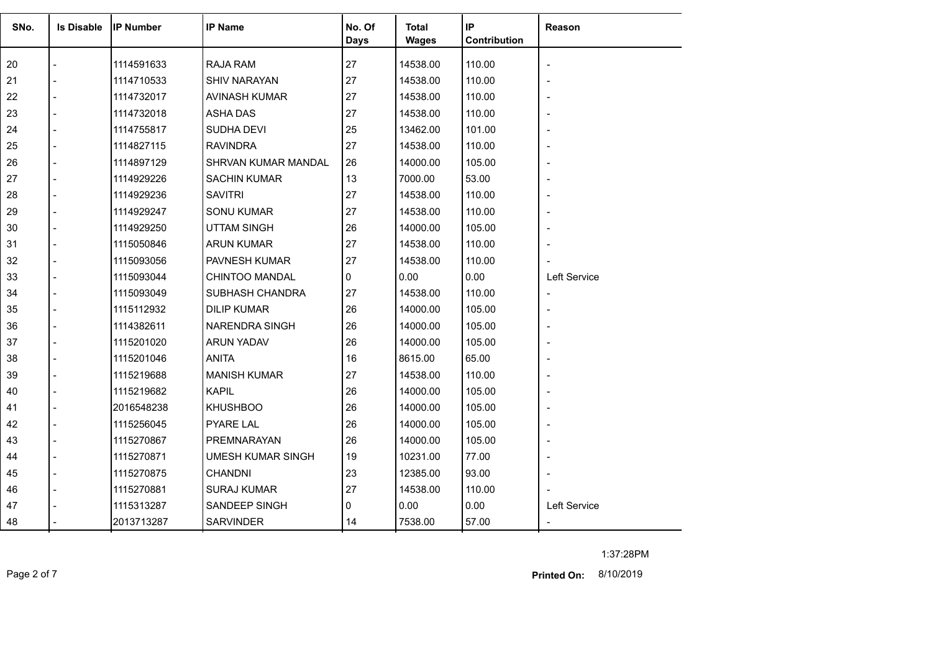| SNo. | <b>Is Disable</b> | <b>IP Number</b> | <b>IP Name</b>           | No. Of<br><b>Days</b> | <b>Total</b><br><b>Wages</b> | IP<br>Contribution | Reason                   |
|------|-------------------|------------------|--------------------------|-----------------------|------------------------------|--------------------|--------------------------|
| 20   |                   | 1114591633       | <b>RAJA RAM</b>          | 27                    | 14538.00                     | 110.00             | $\overline{\phantom{a}}$ |
| 21   |                   | 1114710533       | <b>SHIV NARAYAN</b>      | 27                    | 14538.00                     | 110.00             |                          |
| 22   |                   | 1114732017       | AVINASH KUMAR            | 27                    | 14538.00                     | 110.00             | $\overline{\phantom{0}}$ |
| 23   |                   | 1114732018       | <b>ASHA DAS</b>          | 27                    | 14538.00                     | 110.00             |                          |
| 24   |                   | 1114755817       | SUDHA DEVI               | 25                    | 13462.00                     | 101.00             |                          |
| 25   |                   | 1114827115       | <b>RAVINDRA</b>          | 27                    | 14538.00                     | 110.00             | $\overline{\phantom{0}}$ |
| 26   |                   | 1114897129       | SHRVAN KUMAR MANDAL      | 26                    | 14000.00                     | 105.00             |                          |
| 27   |                   | 1114929226       | <b>SACHIN KUMAR</b>      | 13                    | 7000.00                      | 53.00              |                          |
| 28   |                   | 1114929236       | <b>SAVITRI</b>           | 27                    | 14538.00                     | 110.00             | $\overline{\phantom{0}}$ |
| 29   |                   | 1114929247       | <b>SONU KUMAR</b>        | 27                    | 14538.00                     | 110.00             |                          |
| 30   |                   | 1114929250       | <b>UTTAM SINGH</b>       | 26                    | 14000.00                     | 105.00             |                          |
| 31   |                   | 1115050846       | <b>ARUN KUMAR</b>        | 27                    | 14538.00                     | 110.00             |                          |
| 32   |                   | 1115093056       | PAVNESH KUMAR            | 27                    | 14538.00                     | 110.00             |                          |
| 33   |                   | 1115093044       | CHINTOO MANDAL           | 0                     | 0.00                         | 0.00               | Left Service             |
| 34   |                   | 1115093049       | SUBHASH CHANDRA          | 27                    | 14538.00                     | 110.00             | $\overline{\phantom{a}}$ |
| 35   |                   | 1115112932       | <b>DILIP KUMAR</b>       | 26                    | 14000.00                     | 105.00             | $\overline{\phantom{a}}$ |
| 36   |                   | 1114382611       | <b>NARENDRA SINGH</b>    | 26                    | 14000.00                     | 105.00             |                          |
| 37   |                   | 1115201020       | <b>ARUN YADAV</b>        | 26                    | 14000.00                     | 105.00             |                          |
| 38   |                   | 1115201046       | <b>ANITA</b>             | 16                    | 8615.00                      | 65.00              | $\overline{\phantom{0}}$ |
| 39   |                   | 1115219688       | <b>MANISH KUMAR</b>      | 27                    | 14538.00                     | 110.00             |                          |
| 40   |                   | 1115219682       | <b>KAPIL</b>             | 26                    | 14000.00                     | 105.00             |                          |
| 41   |                   | 2016548238       | <b>KHUSHBOO</b>          | 26                    | 14000.00                     | 105.00             | $\overline{\phantom{0}}$ |
| 42   |                   | 1115256045       | <b>PYARE LAL</b>         | 26                    | 14000.00                     | 105.00             |                          |
| 43   |                   | 1115270867       | PREMNARAYAN              | 26                    | 14000.00                     | 105.00             | $\overline{\phantom{a}}$ |
| 44   |                   | 1115270871       | <b>UMESH KUMAR SINGH</b> | 19                    | 10231.00                     | 77.00              | $\overline{\phantom{0}}$ |
| 45   |                   | 1115270875       | <b>CHANDNI</b>           | 23                    | 12385.00                     | 93.00              |                          |
| 46   |                   | 1115270881       | <b>SURAJ KUMAR</b>       | 27                    | 14538.00                     | 110.00             |                          |
| 47   |                   | 1115313287       | SANDEEP SINGH            | 0                     | 0.00                         | 0.00               | Left Service             |
| 48   |                   | 2013713287       | <b>SARVINDER</b>         | 14                    | 7538.00                      | 57.00              |                          |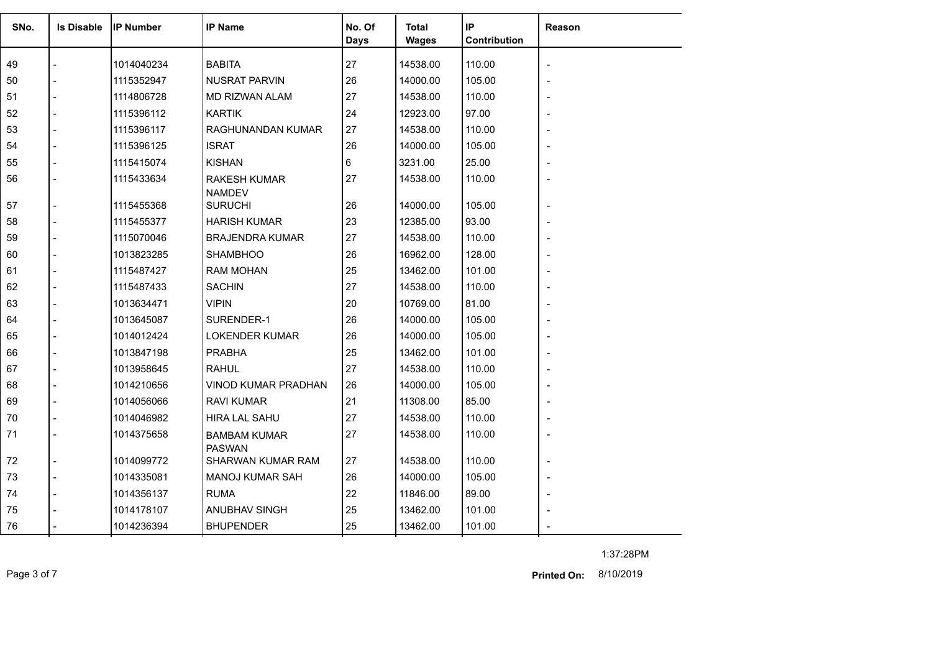| SNo. | <b>Is Disable</b> | <b>IP Number</b> | <b>IP Name</b>                       | No. Of<br><b>Days</b> | <b>Total</b><br><b>Wages</b> | IP<br>Contribution | <b>Reason</b> |
|------|-------------------|------------------|--------------------------------------|-----------------------|------------------------------|--------------------|---------------|
| 49   |                   | 1014040234       | <b>BABITA</b>                        | 27                    | 14538.00                     | 110.00             |               |
| 50   |                   | 1115352947       | <b>NUSRAT PARVIN</b>                 | 26                    | 14000.00                     | 105.00             |               |
| 51   |                   | 1114806728       | MD RIZWAN ALAM                       | 27                    | 14538.00                     | 110.00             |               |
| 52   |                   | 1115396112       | <b>KARTIK</b>                        | 24                    | 12923.00                     | 97.00              |               |
| 53   |                   | 1115396117       | RAGHUNANDAN KUMAR                    | 27                    | 14538.00                     | 110.00             |               |
| 54   |                   | 1115396125       | <b>ISRAT</b>                         | 26                    | 14000.00                     | 105.00             |               |
| 55   |                   | 1115415074       | <b>KISHAN</b>                        | 6                     | 3231.00                      | 25.00              |               |
| 56   |                   | 1115433634       | <b>RAKESH KUMAR</b><br><b>NAMDEV</b> | 27                    | 14538.00                     | 110.00             |               |
| 57   |                   | 1115455368       | <b>SURUCHI</b>                       | 26                    | 14000.00                     | 105.00             |               |
| 58   |                   | 1115455377       | <b>HARISH KUMAR</b>                  | 23                    | 12385.00                     | 93.00              |               |
| 59   |                   | 1115070046       | <b>BRAJENDRA KUMAR</b>               | 27                    | 14538.00                     | 110.00             |               |
| 60   |                   | 1013823285       | <b>SHAMBHOO</b>                      | 26                    | 16962.00                     | 128.00             |               |
| 61   |                   | 1115487427       | <b>RAM MOHAN</b>                     | 25                    | 13462.00                     | 101.00             |               |
| 62   |                   | 1115487433       | <b>SACHIN</b>                        | 27                    | 14538.00                     | 110.00             |               |
| 63   |                   | 1013634471       | <b>VIPIN</b>                         | 20                    | 10769.00                     | 81.00              |               |
| 64   |                   | 1013645087       | SURENDER-1                           | 26                    | 14000.00                     | 105.00             |               |
| 65   |                   | 1014012424       | <b>LOKENDER KUMAR</b>                | 26                    | 14000.00                     | 105.00             |               |
| 66   |                   | 1013847198       | <b>PRABHA</b>                        | 25                    | 13462.00                     | 101.00             |               |
| 67   |                   | 1013958645       | <b>RAHUL</b>                         | 27                    | 14538.00                     | 110.00             |               |
| 68   |                   | 1014210656       | <b>VINOD KUMAR PRADHAN</b>           | 26                    | 14000.00                     | 105.00             |               |
| 69   |                   | 1014056066       | <b>RAVI KUMAR</b>                    | 21                    | 11308.00                     | 85.00              |               |
| 70   |                   | 1014046982       | <b>HIRA LAL SAHU</b>                 | 27                    | 14538.00                     | 110.00             |               |
| 71   |                   | 1014375658       | <b>BAMBAM KUMAR</b><br><b>PASWAN</b> | 27                    | 14538.00                     | 110.00             |               |
| 72   |                   | 1014099772       | SHARWAN KUMAR RAM                    | 27                    | 14538.00                     | 110.00             |               |
| 73   |                   | 1014335081       | <b>MANOJ KUMAR SAH</b>               | 26                    | 14000.00                     | 105.00             |               |
| 74   |                   | 1014356137       | <b>RUMA</b>                          | 22                    | 11846.00                     | 89.00              |               |
| 75   |                   | 1014178107       | ANUBHAV SINGH                        | 25                    | 13462.00                     | 101.00             |               |
| 76   |                   | 1014236394       | <b>BHUPENDER</b>                     | 25                    | 13462.00                     | 101.00             |               |

1:37:28PM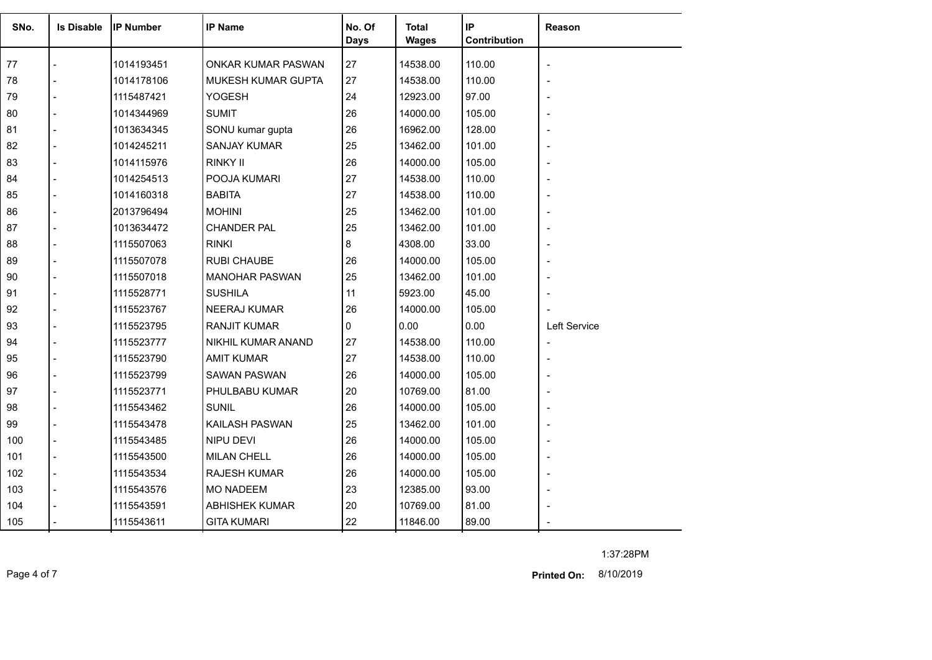| SNo. | <b>Is Disable</b> | <b>IP Number</b> | <b>IP Name</b>        | No. Of<br><b>Days</b> | <b>Total</b><br><b>Wages</b> | IP<br>Contribution | Reason                   |
|------|-------------------|------------------|-----------------------|-----------------------|------------------------------|--------------------|--------------------------|
| 77   |                   | 1014193451       | ONKAR KUMAR PASWAN    | 27                    | 14538.00                     | 110.00             |                          |
| 78   |                   | 1014178106       | MUKESH KUMAR GUPTA    | 27                    | 14538.00                     | 110.00             |                          |
| 79   |                   | 1115487421       | <b>YOGESH</b>         | 24                    | 12923.00                     | 97.00              |                          |
| 80   |                   | 1014344969       | <b>SUMIT</b>          | 26                    | 14000.00                     | 105.00             |                          |
| 81   |                   | 1013634345       | SONU kumar gupta      | 26                    | 16962.00                     | 128.00             |                          |
| 82   |                   | 1014245211       | <b>SANJAY KUMAR</b>   | 25                    | 13462.00                     | 101.00             |                          |
| 83   |                   | 1014115976       | RINKY II              | 26                    | 14000.00                     | 105.00             |                          |
| 84   |                   | 1014254513       | POOJA KUMARI          | 27                    | 14538.00                     | 110.00             |                          |
| 85   |                   | 1014160318       | <b>BABITA</b>         | 27                    | 14538.00                     | 110.00             |                          |
| 86   |                   | 2013796494       | <b>MOHINI</b>         | 25                    | 13462.00                     | 101.00             |                          |
| 87   |                   | 1013634472       | <b>CHANDER PAL</b>    | 25                    | 13462.00                     | 101.00             |                          |
| 88   |                   | 1115507063       | <b>RINKI</b>          | 8                     | 4308.00                      | 33.00              |                          |
| 89   |                   | 1115507078       | <b>RUBI CHAUBE</b>    | 26                    | 14000.00                     | 105.00             | $\overline{a}$           |
| 90   |                   | 1115507018       | <b>MANOHAR PASWAN</b> | 25                    | 13462.00                     | 101.00             |                          |
| 91   |                   | 1115528771       | <b>SUSHILA</b>        | 11                    | 5923.00                      | 45.00              |                          |
| 92   |                   | 1115523767       | <b>NEERAJ KUMAR</b>   | 26                    | 14000.00                     | 105.00             |                          |
| 93   |                   | 1115523795       | <b>RANJIT KUMAR</b>   | 0                     | 0.00                         | 0.00               | Left Service             |
| 94   |                   | 1115523777       | NIKHIL KUMAR ANAND    | 27                    | 14538.00                     | 110.00             | $\blacksquare$           |
| 95   |                   | 1115523790       | <b>AMIT KUMAR</b>     | 27                    | 14538.00                     | 110.00             | $\overline{\phantom{a}}$ |
| 96   |                   | 1115523799       | <b>SAWAN PASWAN</b>   | 26                    | 14000.00                     | 105.00             |                          |
| 97   |                   | 1115523771       | PHULBABU KUMAR        | 20                    | 10769.00                     | 81.00              |                          |
| 98   |                   | 1115543462       | <b>SUNIL</b>          | 26                    | 14000.00                     | 105.00             |                          |
| 99   |                   | 1115543478       | KAILASH PASWAN        | 25                    | 13462.00                     | 101.00             | $\overline{a}$           |
| 100  |                   | 1115543485       | NIPU DEVI             | 26                    | 14000.00                     | 105.00             |                          |
| 101  |                   | 1115543500       | <b>MILAN CHELL</b>    | 26                    | 14000.00                     | 105.00             |                          |
| 102  |                   | 1115543534       | <b>RAJESH KUMAR</b>   | 26                    | 14000.00                     | 105.00             |                          |
| 103  |                   | 1115543576       | <b>MO NADEEM</b>      | 23                    | 12385.00                     | 93.00              |                          |
| 104  |                   | 1115543591       | <b>ABHISHEK KUMAR</b> | 20                    | 10769.00                     | 81.00              |                          |
| 105  |                   | 1115543611       | <b>GITA KUMARI</b>    | 22                    | 11846.00                     | 89.00              |                          |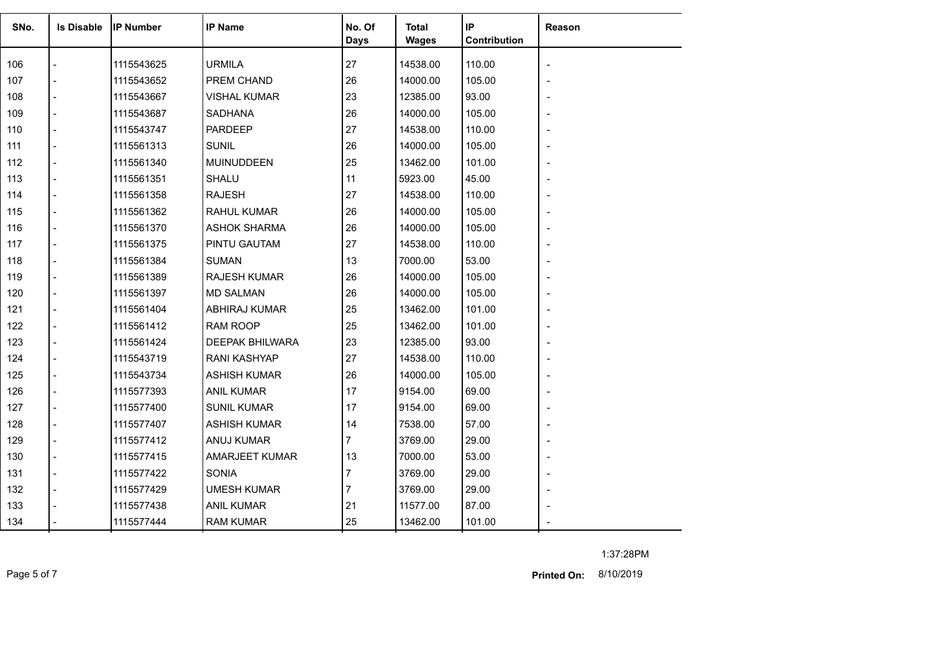| SNo. | <b>Is Disable</b>        | <b>IP Number</b> | <b>IP Name</b>        | No. Of<br><b>Days</b> | <b>Total</b><br><b>Wages</b> | IP<br>Contribution | Reason                   |
|------|--------------------------|------------------|-----------------------|-----------------------|------------------------------|--------------------|--------------------------|
| 106  |                          | 1115543625       | <b>URMILA</b>         | 27                    | 14538.00                     | 110.00             |                          |
| 107  | $\overline{a}$           | 1115543652       | PREM CHAND            | 26                    | 14000.00                     | 105.00             |                          |
| 108  | $\overline{a}$           | 1115543667       | <b>VISHAL KUMAR</b>   | 23                    | 12385.00                     | 93.00              | $\overline{\phantom{0}}$ |
| 109  |                          | 1115543687       | <b>SADHANA</b>        | 26                    | 14000.00                     | 105.00             |                          |
| 110  | $\overline{a}$           | 1115543747       | <b>PARDEEP</b>        | 27                    | 14538.00                     | 110.00             |                          |
| 111  | $\overline{a}$           | 1115561313       | <b>SUNIL</b>          | 26                    | 14000.00                     | 105.00             |                          |
| 112  |                          | 1115561340       | MUINUDDEEN            | 25                    | 13462.00                     | 101.00             |                          |
| 113  | $\blacksquare$           | 1115561351       | SHALU                 | 11                    | 5923.00                      | 45.00              |                          |
| 114  | $\overline{a}$           | 1115561358       | <b>RAJESH</b>         | 27                    | 14538.00                     | 110.00             |                          |
| 115  |                          | 1115561362       | <b>RAHUL KUMAR</b>    | 26                    | 14000.00                     | 105.00             | $\blacksquare$           |
| 116  | $\overline{a}$           | 1115561370       | <b>ASHOK SHARMA</b>   | 26                    | 14000.00                     | 105.00             |                          |
| 117  |                          | 1115561375       | PINTU GAUTAM          | 27                    | 14538.00                     | 110.00             |                          |
| 118  |                          | 1115561384       | <b>SUMAN</b>          | 13                    | 7000.00                      | 53.00              |                          |
| 119  | $\overline{a}$           | 1115561389       | <b>RAJESH KUMAR</b>   | 26                    | 14000.00                     | 105.00             |                          |
| 120  |                          | 1115561397       | <b>MD SALMAN</b>      | 26                    | 14000.00                     | 105.00             |                          |
| 121  | $\overline{a}$           | 1115561404       | ABHIRAJ KUMAR         | 25                    | 13462.00                     | 101.00             |                          |
| 122  | $\overline{a}$           | 1115561412       | RAM ROOP              | 25                    | 13462.00                     | 101.00             |                          |
| 123  |                          | 1115561424       | DEEPAK BHILWARA       | 23                    | 12385.00                     | 93.00              |                          |
| 124  | $\overline{\phantom{a}}$ | 1115543719       | <b>RANI KASHYAP</b>   | 27                    | 14538.00                     | 110.00             |                          |
| 125  | $\overline{a}$           | 1115543734       | <b>ASHISH KUMAR</b>   | 26                    | 14000.00                     | 105.00             | $\overline{\phantom{0}}$ |
| 126  | $\blacksquare$           | 1115577393       | <b>ANIL KUMAR</b>     | 17                    | 9154.00                      | 69.00              |                          |
| 127  | $\overline{\phantom{a}}$ | 1115577400       | <b>SUNIL KUMAR</b>    | 17                    | 9154.00                      | 69.00              |                          |
| 128  | $\overline{a}$           | 1115577407       | <b>ASHISH KUMAR</b>   | 14                    | 7538.00                      | 57.00              |                          |
| 129  | $\overline{a}$           | 1115577412       | ANUJ KUMAR            | $\overline{7}$        | 3769.00                      | 29.00              |                          |
| 130  | $\blacksquare$           | 1115577415       | <b>AMARJEET KUMAR</b> | 13                    | 7000.00                      | 53.00              |                          |
| 131  | $\blacksquare$           | 1115577422       | <b>SONIA</b>          | $\overline{7}$        | 3769.00                      | 29.00              |                          |
| 132  |                          | 1115577429       | <b>UMESH KUMAR</b>    | 7                     | 3769.00                      | 29.00              |                          |
| 133  |                          | 1115577438       | <b>ANIL KUMAR</b>     | 21                    | 11577.00                     | 87.00              |                          |
| 134  |                          | 1115577444       | <b>RAM KUMAR</b>      | 25                    | 13462.00                     | 101.00             |                          |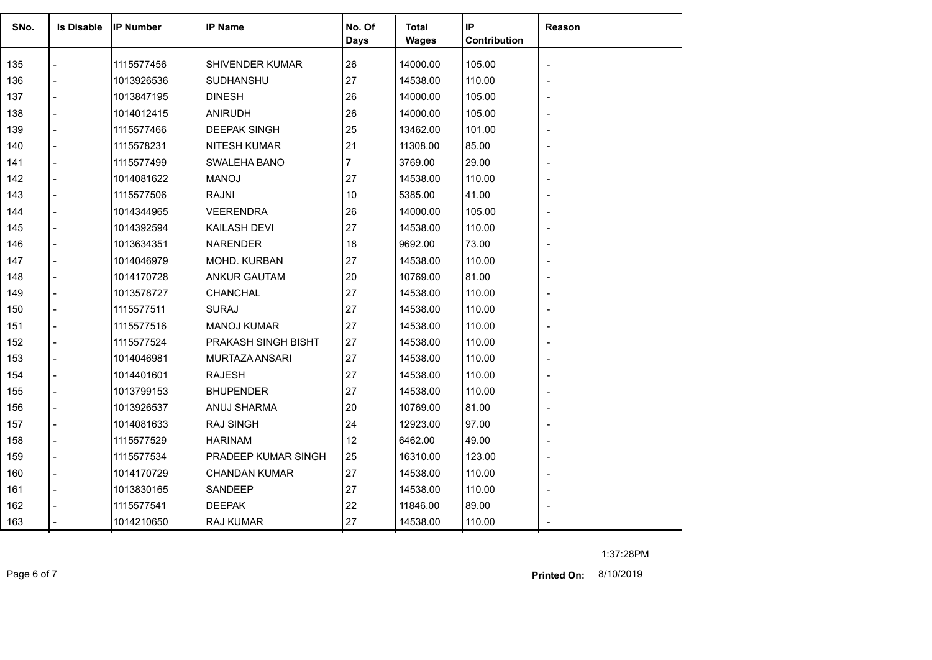| SNo. | <b>Is Disable</b> | <b>IP Number</b> | <b>IP Name</b>        | No. Of<br><b>Days</b> | <b>Total</b><br><b>Wages</b> | IP<br>Contribution | Reason                   |
|------|-------------------|------------------|-----------------------|-----------------------|------------------------------|--------------------|--------------------------|
| 135  |                   | 1115577456       | SHIVENDER KUMAR       | 26                    | 14000.00                     | 105.00             |                          |
| 136  |                   | 1013926536       | <b>SUDHANSHU</b>      | 27                    | 14538.00                     | 110.00             |                          |
| 137  |                   | 1013847195       | <b>DINESH</b>         | 26                    | 14000.00                     | 105.00             | $\overline{\phantom{0}}$ |
| 138  |                   | 1014012415       | <b>ANIRUDH</b>        | 26                    | 14000.00                     | 105.00             |                          |
| 139  |                   | 1115577466       | <b>DEEPAK SINGH</b>   | 25                    | 13462.00                     | 101.00             |                          |
| 140  |                   | 1115578231       | <b>NITESH KUMAR</b>   | 21                    | 11308.00                     | 85.00              |                          |
| 141  |                   | 1115577499       | SWALEHA BANO          | $\overline{7}$        | 3769.00                      | 29.00              |                          |
| 142  |                   | 1014081622       | <b>MANOJ</b>          | 27                    | 14538.00                     | 110.00             |                          |
| 143  |                   | 1115577506       | <b>RAJNI</b>          | 10                    | 5385.00                      | 41.00              |                          |
| 144  |                   | 1014344965       | <b>VEERENDRA</b>      | 26                    | 14000.00                     | 105.00             |                          |
| 145  |                   | 1014392594       | KAILASH DEVI          | 27                    | 14538.00                     | 110.00             |                          |
| 146  |                   | 1013634351       | <b>NARENDER</b>       | 18                    | 9692.00                      | 73.00              |                          |
| 147  |                   | 1014046979       | MOHD. KURBAN          | 27                    | 14538.00                     | 110.00             |                          |
| 148  |                   | 1014170728       | <b>ANKUR GAUTAM</b>   | 20                    | 10769.00                     | 81.00              |                          |
| 149  |                   | 1013578727       | CHANCHAL              | 27                    | 14538.00                     | 110.00             |                          |
| 150  |                   | 1115577511       | <b>SURAJ</b>          | 27                    | 14538.00                     | 110.00             |                          |
| 151  |                   | 1115577516       | <b>MANOJ KUMAR</b>    | 27                    | 14538.00                     | 110.00             |                          |
| 152  |                   | 1115577524       | PRAKASH SINGH BISHT   | 27                    | 14538.00                     | 110.00             |                          |
| 153  |                   | 1014046981       | <b>MURTAZA ANSARI</b> | 27                    | 14538.00                     | 110.00             |                          |
| 154  |                   | 1014401601       | <b>RAJESH</b>         | 27                    | 14538.00                     | 110.00             |                          |
| 155  |                   | 1013799153       | <b>BHUPENDER</b>      | 27                    | 14538.00                     | 110.00             |                          |
| 156  |                   | 1013926537       | ANUJ SHARMA           | 20                    | 10769.00                     | 81.00              |                          |
| 157  |                   | 1014081633       | <b>RAJ SINGH</b>      | 24                    | 12923.00                     | 97.00              |                          |
| 158  |                   | 1115577529       | <b>HARINAM</b>        | 12                    | 6462.00                      | 49.00              |                          |
| 159  |                   | 1115577534       | PRADEEP KUMAR SINGH   | 25                    | 16310.00                     | 123.00             |                          |
| 160  |                   | 1014170729       | <b>CHANDAN KUMAR</b>  | 27                    | 14538.00                     | 110.00             | $\blacksquare$           |
| 161  |                   | 1013830165       | SANDEEP               | 27                    | 14538.00                     | 110.00             |                          |
| 162  |                   | 1115577541       | <b>DEEPAK</b>         | 22                    | 11846.00                     | 89.00              |                          |
| 163  |                   | 1014210650       | <b>RAJ KUMAR</b>      | 27                    | 14538.00                     | 110.00             |                          |